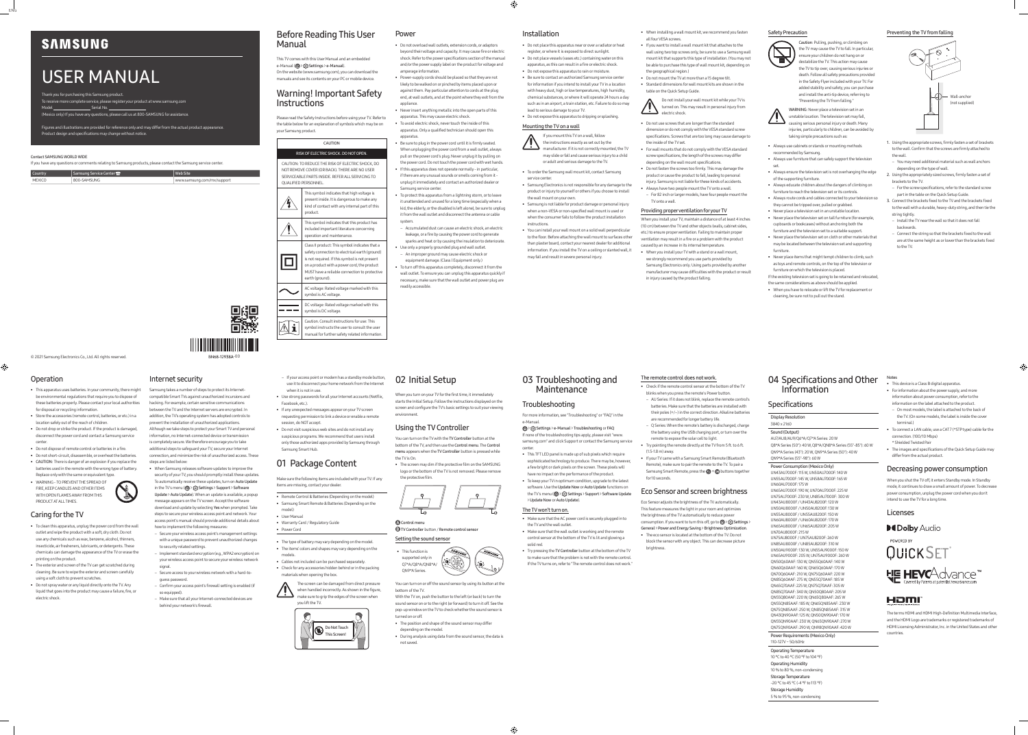© 2021 Samsung Electronics Co., Ltd. All rights reserved.

# USER MANUAL

Thank you for purchasing this Samsung product. To receive more complete service, please register your product at www.samsung.com Model Serial No.

(Mexico only) If you have any questions, please call us at 800-SAMSUNG for assistance.

Figures and illustrations are provided for reference only and may differ from the actual product appearance.

Product design and specifications may change without notice.

### Contact SAMSUNG WORLD WIDE

If you have any questions or comments relating to Samsung products, please contact the Samsung service center.

| <b>Country</b> | Samsung Service Center $2^{\circ}$ | Web Site                   |  |  |
|----------------|------------------------------------|----------------------------|--|--|
| <b>MEXICO</b>  | 800-SAMSUNG                        | www.samsung.com/mx/support |  |  |

### Before Reading This User Manual

This TV comes with this User Manual and an embedded e-Manual (@> & Settings > e-Manual). On the website (www.samsung.com), you can download the manuals and see its contents on your PC or mobile device.

### Warning! Important Safety Instructions

symbol instructs the user to consult the user  $\left| \Delta \right|$  1 anual for further safety related information

Please read the Safety Instructions before using your TV. Refer to the table below for an explanation of symbols which may be on your Samsung product.

CAUTION

### RISK OF ELECTRIC SHOCK. DO NOT OPEN.

CAUTION: TO REDUCE THE RISK OF ELECTRIC SHOCK, DO NOT REMOVE COVER (OR BACK). THERE ARE NO USER SERVICEABLE PARTS INSIDE. REFER ALL SERVICING TO QUALIFIED PERSONNEL.

| This symbol indicates that high voltage is<br>present inside. It is dangerous to make any<br>kind of contact with any internal part of this<br>product.                                                                                                               |
|-----------------------------------------------------------------------------------------------------------------------------------------------------------------------------------------------------------------------------------------------------------------------|
| This symbol indicates that this product has<br>included important literature concerning<br>operation and maintenance.                                                                                                                                                 |
| Class II product: This symbol indicates that a<br>safety connection to electrical earth (ground)<br>is not required. If this symbol is not present<br>on a product with a power cord, the product<br>MUST have a reliable connection to protective<br>earth (ground). |
| AC voltage: Rated voltage marked with this<br>symbol is AC voltage.                                                                                                                                                                                                   |
| DC voltage: Rated voltage marked with this<br>symbol is DC voltage.                                                                                                                                                                                                   |
| Caution. Consult instructions for use: This                                                                                                                                                                                                                           |

# Power

- Do not overload wall outlets, extension cords, or adaptors beyond their voltage and capacity. It may cause fire or electric shock. Refer to the power specifications section of the manual and/or the power supply label on the product for voltage and amperage information.
- Power-supply cords should be placed so that they are not likely to be walked on or pinched by items placed upon or against them. Pay particular attention to cords at the plug end, at wall outlets, and at the point where they exit from the appliance.
- Never insert anything metallic into the open parts of this apparatus. This may cause electric shock.
- To avoid electric shock, never touch the inside of this apparatus. Only a qualified technician should open this apparatus.
- Be sure to plug in the power cord until it is firmly seated. When unplugging the power cord from a wall outlet, always pull on the power cord's plug. Never unplug it by pulling on the power cord. Do not touch the power cord with wet hands. • If this apparatus does not operate normally - in particular, if there are any unusual sounds or smells coming from it -
- unplug it immediately and contact an authorized dealer or Samsung service center
- To protect this apparatus from a lightning storm, or to leave it unattended and unused for a long time (especially when a kid, the elderly, or the disabled is left alone), be sure to unplug it from the wall outlet and disconnect the antenna or cable system.
- Accumulated dust can cause an electric shock, an electric leakage, or a fire by causing the power cord to generate sparks and heat or by causing the insulation to deteriorate. • Use only a properly grounded plug and wall outlet.
- An improper ground may cause electric shock or equipment damage. (Class l Equipment only.)
- To turn off this apparatus completely, disconnect it from the wall outlet. To ensure you can unplug this apparatus quickly if necessary, make sure that the wall outlet and power plug are readily accessible.

### Installation

• Do not place this apparatus near or over a radiator or heat register, or where it is exposed to direct sunlight. • Do not place vessels (vases etc.) containing water on this apparatus, as this can result in a fire or electric shock.

• Do not expose this apparatus to rain or moisture. • Be sure to contact an authorized Samsung service center for information if you intend to install your TV in a location with heavy dust, high or low temperatures, high humidity, chemical substances, or where it will operate 24 hours a day

such as in an airport, a train station, etc. Failure to do so may lead to serious damage to your TV. • Do not expose this apparatus to dripping or splashing.

### Mounting the TV on a wall

If you mount this TV on a wall, follow the instructions exactly as set out by the

manufacturer. If it is not correctly mounted, the TV may slide or fall and cause serious injury to a child or adult and serious damage to the TV.

### • To order the Samsung wall mount kit, contact Samsung

- service center. • Samsung Electronics is not responsible for any damage to the product or injury to yourself or others if you choose to install the wall mount on your own.
- Samsung is not liable for product damage or personal injury when a non-VESA or non-specified wall mount is used or when the consumer fails to follow the product installation instructions.

• You can install your wall mount on a solid wall perpendicular to the floor. Before attaching the wall mount to surfaces other than plaster board, contact your nearest dealer for additional information. If you install the TV on a ceiling or slanted wall, it may fall and result in severe personal injury.

### • When installing a wall mount kit, we recommend you fasten

all four VESA screws

• If you want to install a wall mount kit that attaches to the wall using two top screws only, be sure to use a Samsung wall mount kit that supports this type of installation. (You may not be able to purchase this type of wall mount kit, depending on

the geographical region.)

• Do not mount the TV at more than a 15 degree tilt. • Standard dimensions for wall mount kits are shown in the

table on the Quick Setup Guide.

Do not install your wall mount kit while your TV is turned on. This may result in personal injury from

electric shock.

• Do not use screws that are longer than the standard dimension or do not comply with the VESA standard screw specifications. Screws that are too long may cause damage to

the inside of the TV set.

• For wall mounts that do not comply with the VESA standard screw specifications, the length of the screws may differ depending on the wall mount specifications. • Do not fasten the screws too firmly. This may damage the product or cause the product to fall, leading to personal injury. Samsung is not liable for these kinds of accidents. • Always have two people mount the TV onto a wall. – For 82 inch or larger models, have four people mount the



TV onto a wall.

Providing proper ventilation for your TV

When you install your TV, maintain a distance of at least 4 inches (10 cm) between the TV and other objects (walls, cabinet sides, etc.) to ensure proper ventilation. Failing to maintain proper ventilation may result in a fire or a problem with the product caused by an increase in its internal temperature. • When you install your TV with a stand or a wall mount, we strongly recommend you use parts provided by Samsung Electronics only. Using parts provided by another manufacturer may cause difficulties with the product or result

in injury caused by the product falling.

Safety Precaution

Caution: Pulling, pushing, or climbing on the TV may cause the TV to fall. In particular, ensure your children do not hang on or destabilize the TV. This action may cause the TV to tip over, causing serious injuries or death. Follow all safety precautions provided in the Safety Flyer included with your TV. For added stability and safety, you can purchase and install the anti-tip device, referring to "Preventing the TV from falling."

### 03 Troubleshooting and **Maintenance**

WARNING: Never place a television set in an unstable location. The television set may fall, causing serious personal injury or death. Many injuries, particularly to children, can be avoided by taking simple precautions such as:

- the TV and the wall outlet.
- Make sure that the wall outlet is working and the remote control sensor at the bottom of the TV is lit and glowing a solid red
- 
- 
- 
- Always use cabinets or stands or mounting methods
- recommended by Samsung. • Always use furniture that can safely support the television
- set. • Always ensure the television set is not overhanging the edge of the supporting furniture.
- Always educate children about the dangers of climbing on furniture to reach the television set or its control:
- Always route cords and cables connected to your television so they cannot be tripped over, pulled or grabbed.
- Never place a television set in an unstable location. • Never place the television set on tall furniture (for example, cupboards or bookcases) without anchoring both the
- furniture and the television set to a suitable support. • Never place the television set on cloth or other materials that may be located between the television set and supporting
- furniture. • Never place items that might tempt children to climb, such as toys and remote controls, on the top of the television or
- furniture on which the television is placed. If the existing television set is going to be retained and relocated,
- the same considerations as above should be applied.
- When you have to relocate or lift the TV for replacement or cleaning, be sure not to pull out the stand.

- consumption. If you want to turn this off, go to @ > & Settings > General > Power and Energy Saving > Brightness Optimization.  $\cdot$  The eco sensor is located at the bottom of the TV. Do no block the sensor with any object. This can decrease picture
- brightness.

### Preventing the TV from falling



- 1. Using the appropriate screws, firmly fasten a set of brackets to the wall. Confirm that the screws are firmly attached to
- the wall.
- You may need additional material such as wall anchors depending on the type of wall.
- 2. Using the appropriately sized screws, firmly fasten a set of brackets to the TV.
- For the screw specifications, refer to the standard screw part in the table on the Quick Setup Guide.
- 3. Connect the brackets fixed to the TV and the brackets fixed to the wall with a durable, heavy-duty string, and then tie the string tightly.
- Install the TV near the wall so that it does not fall backwards.
- Connect the string so that the brackets fixed to the wall are at the same height as or lower than the brackets fixed to the TV.

### Operation

 $\bigoplus$ 

- This apparatus uses batteries. In your community, there might be environmental regulations that require you to dispose of these batteries properly. Please contact your local authorities for disposal or recycling information.
- Store the accessories (remote control, batteries, or etc.) in a location safely out of the reach of children.
- Do not drop or strike the product. If the product is damaged, disconnect the power cord and contact a Samsung service center.
- Do not dispose of remote control or batteries in a fire.
- Do not short-circuit, disassemble, or overheat the batteries. • CAUTION: There is danger of an explosion if you replace the batteries used in the remote with the wrong type of battery.
- Replace only with the same or equivalent type. • WARNING - TO PREVENT THE SPREAD OF FIRE, KEEP CANDLES AND OTHER ITEMS WITH OPEN FLAMES AWAY FROM THIS



PRODUCT AT ALL TIMES.

### Caring for the TV

- To clean this apparatus, unplug the power cord from the wall outlet a soft dry cloth. Do no use any chemicals such as wax, benzene, alcohol, thinners, insecticide, air fresheners, lubricants, or detergents. These chemicals can damage the appearance of the TV or erase the printing on the product.
- The exterior and screen of the TV can get scratched during cleaning. Be sure to wipe the exterior and screen carefully using a soft cloth to prevent scratches.
- Do not spray water or any liquid directly onto the TV. Any liquid that goes into the product may cause a failure, fire, or electric shock.

### Internet security

Samsung takes a number of steps to protect its Internetcompatible Smart TVs against unauthorized incursions and hacking. For example, certain sensitive communications between the TV and the Internet servers are encrypted. In addition, the TV's operating system has adopted controls to prevent the installation of unauthorized applications. Although we take steps to protect your Smart TV and personal information, no Internet-connected device or transmission is completely secure. We therefore encourage you to take additional steps to safeguard your TV, secure your Internet connection, and minimize the risk of unauthorized access. These

steps are listed below: • When Samsung releases software updates to improve the security of your TV, you should promptly install these updates.

To automatically receive these updates, turn on Auto Update in the TV's menu ( $\textcircled{a}$ )  $\textcircled{c}$  Settings > Support > Software Update > Auto Update). When an update is available, a popup

message appears on the TV screen. Accept the software download and update by selecting Yes when prompted. Take steps to secure your wireless access point and network. Your access point's manual should provide additional details about

- how to implement the following measures: – Secure your wireless access point's management settings with a unique password to prevent unauthorized changes
- to security related settings. – Implement standard encryption (e.g., WPA2 encryption) on
- your wireless access point to secure your wireless network signal.
- Secure access to your wireless network with a hard-toguess password.
- Confirm your access point's firewall setting is enabled (if so equipped).
- Make sure that all your Internet-connected devices are behind your network's firewall.
- If your access point or modem has a standby mode button, use it to disconnect your home network from the Internet when it is not in use.
- Use strong passwords for all your Internet accounts (Netflix, Facebook, etc.).
- If any unexpected messages appear on your TV screen requesting permission to link a device or enable a remote session, do NOT accept.
- Do not visit suspicious web sites and do not install any suspicious programs. We recommend that users install only those authorized apps provided by Samsung through Samsung Smart Hub.

# 01 Package Content

Make sure the following items are included with your TV. If any items are missing, contact your dealer.

- Remote Control & Batteries (Depending on the model) • Samsung Smart Remote & Batteries (Depending on the
- model) • User Manual
- Warranty Card / Regulatory Guide
- Power Cord
- The type of battery may vary depending on the model. • The items' colors and shapes may vary depending on the
- models. • Cables not included can be purchased separately.
- Check for any accessories hidden behind or in the packing materials when opening the box.





### 02 Initial Setup

When you turn on your TV for the first time, it immediately starts the Initial Setup. Follow the instructions displayed on the screen and configure the TV's basic settings to suit your viewing environment.

### Using the TV Controller

You can turn on the TV with the TV Controller button at the bottom of the TV, and then use the Control menu. The Control menu appears when the TV Controller button is pressed while the TV is On.

• The screen may dim if the protective film on the SAMSUNG logo or the bottom of the TV is not removed. Please remove the protective film.



**Control menu B** TV Controller button / Remote control sensor



QN9\*A Series.



With the TV on, push the button to the left (or back) to turn the sound sensor on or to the right (or forward) to turn it off. See the pop-up window on the TV to check whether the sound sensor is turned on or off.

- The position and shape of the sound sensor may differ depending on the mode
- During analysis using data from the sound sensor, the data is not saved.

### Troubleshooting

# center.

- For more information, see "Troubleshooting" or "FAQ" in the e-Manual.
- > Settings > e-Manual > Troubleshooting or FAQ If none of the troubleshooting tips apply, please visit "www. samsung.com" and click Support or contact the Samsung service
- This TFT LED panel is made up of sub pixels which require sophisticated technology to produce. There may be, however, a few bright or dark pixels on the screen. These pixels will have no impact on the performance of the product.
- To keep your TV in optimum condition, upgrade to the latest software. Use the Update Now or Auto Update functions on the TV's menu (@ > @ Settings > Support > Software Update > Update Now or Auto Update).

### The TV won't turn on.

- Make sure that the AC power cord is securely plugged in to
- Try pressing the TV Controller button at the bottom of the TV to make sure that the problem is not with the remote control. If the TV turns on, refer to "The remote control does not work."

### The remote control does not work.

- Check if the remote control sensor at the bottom of the TV blinks when you press the remote's Power button.
- AU Series: If it does not blink, replace the remote control's batteries. Make sure that the batteries are installed with their poles (+/–) in the correct direction. Alkaline batteries
- are recommended for longer battery life. – Q Series: When the remote's battery is discharged, charge the battery using the USB charging port, or turn over the remote to expose the solar cell to light.
- Try pointing the remote directly at the TV from 5 ft. to 6 ft.  $(1.5 - 1.8$  m) awa
- If your TV came with a Samsung Smart Remote (Bluetooth Remote), make sure to pair the remote to the TV. To pair a Samsung Smart Remote, press the  $\bigcirc$  +  $\circ$  buttons together for 10 seconds.

# Eco Sensor and screen brightness

Eco Sensor adjusts the brightness of the TV automatically. This feature measures the light in your room and optimizes the brightness of the TV automatically to reduce power

### 04 Specifications and Other Information

### **Specifications**

### Display Resolution

3840 x 2160

### Sound (Output)

AU7/AU8/AU9/Q6\*A/Q7\*A Series: 20 W Q8\*A Series (50"): 40 W, Q8\*A/QN8\*A Series (55"-85"): 60 W QN9\*A Series (43"): 20 W, QN9\*A Series (50"): 40 W

QN9\*A Series (55"-98"): 60 W

Power Consumption (Mexico Only) UN43AU7000F: 115 W, UN50AU7000F: 140 W UN55AU7000F: 145 W, UN58AU7000F: 165 W UN60AU7000F: 175 W UN65AU7000F: 190 W, UN70AU7000F: 225 W UN75AU7000F: 230 W, UN85AU7000F: 300 W UN43AU8000F / UN43AU8200F: 120 W UN50AU8000F / UN50AU8200F: 130 W

UN55AU8000F / UN55AU8200F: 150 W UN60AU8000F / UN60AU8200F: 170 W UN65AU8000F / UN65AU8200F: 205 W UN70AU8000F: 215 W

UN75AU8000F / UN75AU8200F: 260 W

UN85AU8000F / UN85AU8200F: 310 W UN50AU9000F: 130 W, UN55AU9000F: 150 W UN65AU9000F: 205 W, UN75AU9000F: 260 W QN50Q60AAF: 130 W, QN55Q60AAF: 140 W QN60Q60AAF: 160 W, QN65Q60AAF: 170 W QN70Q60AAF: 210 W, QN75Q60AAF: 220 W QN85Q60AAF: 275 W, QN55Q70AAF: 185 W QN65Q70AAF: 225 W, QN75Q70AAF: 305 W QN85Q70AAF: 340 W, QN50Q80AAF: 205 W QN55Q80AAF: 220 W, QN65Q80AAF: 265 W QN55QN85AAF: 185 W, QN65QN85AAF: 230 W

QN75QN85AAF: 250 W, QN85QN85AAF: 315 W QN43QN90AAF: 125 W, QN50QN90AAF: 170 W QN55QN90AAF: 230 W, QN65QN90AAF: 270 W QN75QN90AAF: 290 W, QN98QN90AAF: 420W Power Requirements (Mexico Only)

110-127V ~ 50/60Hz Operating Temperature 10 °C to 40 °C (50 °F to 104 °F) Operating Humidity 10 % to 80 %, non-condensing Storage Temperature -20 °C to 45 °C (-4 °F to 113 °F)

Storage Humidity

5 % to 95 %, non-condensing

Notes

### • This device is a Class B digital apparatus.

- For information about the power supply, and more
- information about power consumption, refer to the
- On most models, the label is attached to the back of the TV. (On some models, the label is inside the cover
- To connect a LAN cable, use a CAT 7 (\*STP type) cable for the connection. (100/10 Mbps)
- 

- information on the label attached to the product.
- terminal.)
- \* Shielded Twisted Pair
- The images and specifications of the Quick Setup Guide may

differ from the actual product.

# Decreasing power consumption

When you shut the TV off, it enters Standby mode. In Standby mode, it continues to draw a small amount of power. To decrease power consumption, unplug the power cord when you don't

intend to use the TV for a long time.







### Licenses



### HƏMI

The terms HDMI and HDMI High-Definition Multimedia Interface, and the HDMI Logo are trademarks or registered trademarks of HDMI Licensing Administrator, Inc. in the United States and other countries.

# **SAMSUNG**

ENG